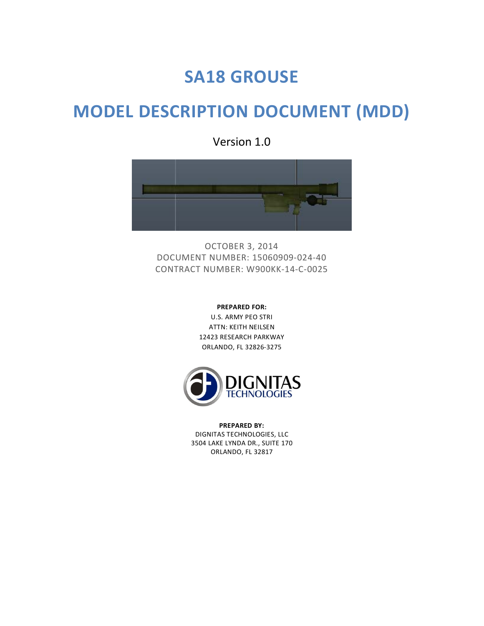# **SA18 GROUSE**

# **MODEL DESCRIPTION DOCUMENT (MDD)**

Version 1.0



OCTOBER 3, 2014 DOCUMENT NUMBER: 15060909-024-40 CONTRACT NUMBER: W900KK-14-C-0025

> **PREPARED FOR:** U.S. ARMY PEO STRI ATTN: KEITH NEILSEN 12423 RESEARCH PARKWAY ORLANDO, FL 32826-3275



**PREPARED BY:** DIGNITAS TECHNOLOGIES, LLC 3504 LAKE LYNDA DR., SUITE 170 ORLANDO, FL 32817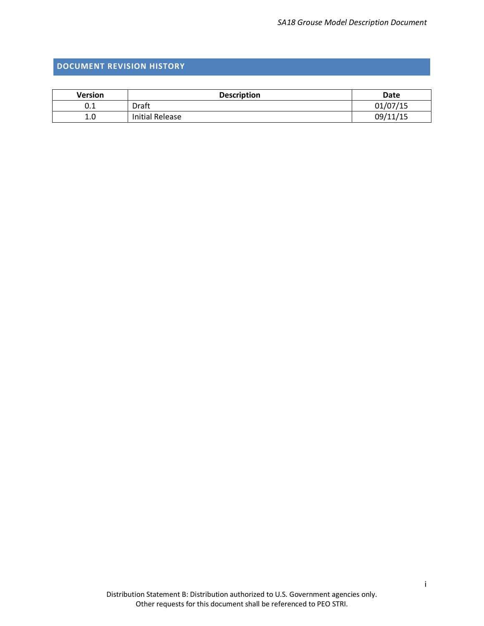## <span id="page-1-0"></span>**DOCUMENT REVISION HISTORY**

| <b>Version</b> | <b>Description</b> | Date     |
|----------------|--------------------|----------|
| U.L            | Draft              | 01/07/15 |
| 1.0            | Initial Release    | 09/11/15 |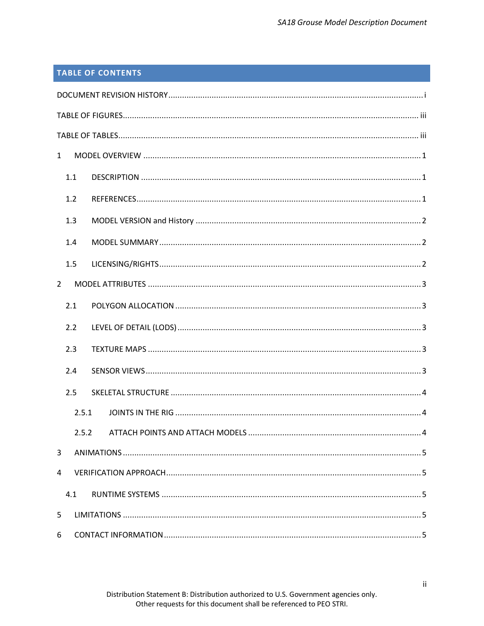# **TABLE OF CONTENTS**

| $\mathbf{1}$   |       |  |  |
|----------------|-------|--|--|
| 1.1            |       |  |  |
| 1.2            |       |  |  |
| 1.3            |       |  |  |
| 1.4            |       |  |  |
| 1.5            |       |  |  |
| $\overline{2}$ |       |  |  |
| 2.1            |       |  |  |
| 2.2            |       |  |  |
| 2.3            |       |  |  |
| 2.4            |       |  |  |
| 2.5            |       |  |  |
|                | 2.5.1 |  |  |
|                | 2.5.2 |  |  |
| 3              |       |  |  |
| 4              |       |  |  |
| 4.1            |       |  |  |
| 5              |       |  |  |
| 6              |       |  |  |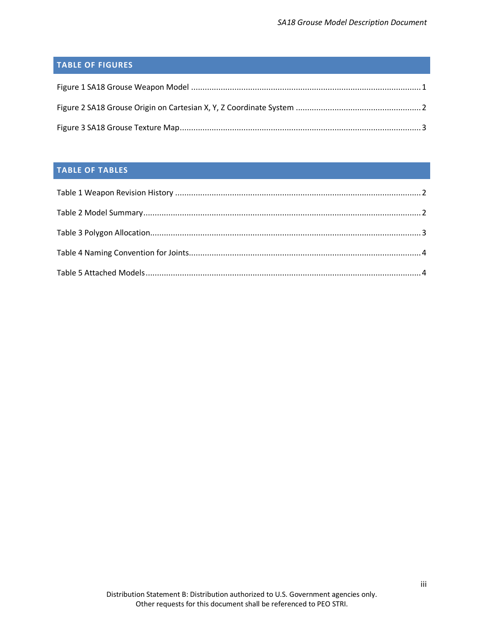# <span id="page-3-0"></span>**TABLE OF FIGURES**

## <span id="page-3-1"></span>**TABLE OF TABLES**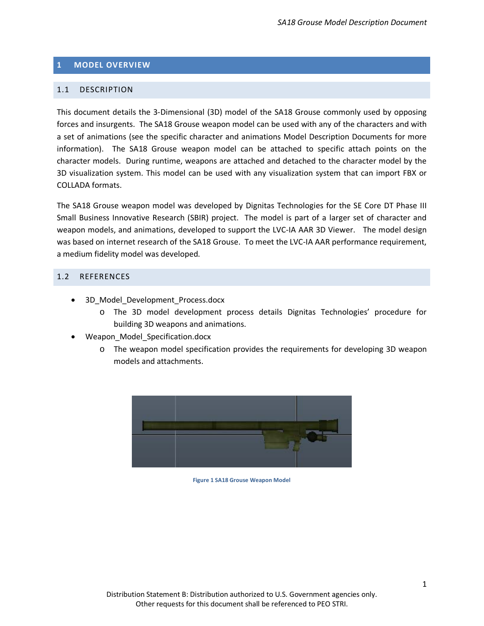#### <span id="page-4-0"></span>**1 MODEL OVERVIEW**

#### <span id="page-4-1"></span>1.1 DESCRIPTION

This document details the 3-Dimensional (3D) model of the SA18 Grouse commonly used by opposing forces and insurgents. The SA18 Grouse weapon model can be used with any of the characters and with a set of animations (see the specific character and animations Model Description Documents for more information). The SA18 Grouse weapon model can be attached to specific attach points on the character models. During runtime, weapons are attached and detached to the character model by the 3D visualization system. This model can be used with any visualization system that can import FBX or COLLADA formats.

The SA18 Grouse weapon model was developed by Dignitas Technologies for the SE Core DT Phase III Small Business Innovative Research (SBIR) project. The model is part of a larger set of character and weapon models, and animations, developed to support the LVC-IA AAR 3D Viewer. The model design was based on internet research of the SA18 Grouse. To meet the LVC-IA AAR performance requirement, a medium fidelity model was developed.

#### <span id="page-4-2"></span>1.2 REFERENCES

- 3D Model Development Process.docx
	- o The 3D model development process details Dignitas Technologies' procedure for building 3D weapons and animations.
- Weapon\_Model\_Specification.docx
	- o The weapon model specification provides the requirements for developing 3D weapon models and attachments.

<span id="page-4-3"></span>

**Figure 1 SA18 Grouse Weapon Model**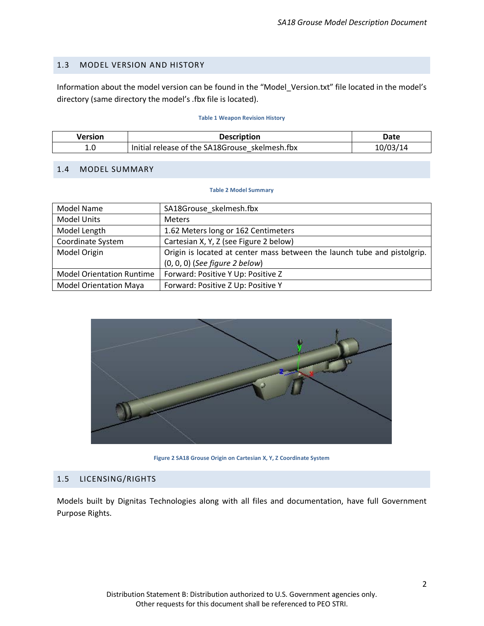## <span id="page-5-0"></span>1.3 MODEL VERSION AND HISTORY

Information about the model version can be found in the "Model\_Version.txt" file located in the model's directory (same directory the model's .fbx file is located).

#### **Table 1 Weapon Revision History**

<span id="page-5-4"></span>

| Version | <b>Description</b>                             | Date     |
|---------|------------------------------------------------|----------|
| t.u     | Initial release of the SA18Grouse skelmesh.fbx | 10/03/14 |

#### <span id="page-5-5"></span><span id="page-5-1"></span>1.4 MODEL SUMMARY

#### **Table 2 Model Summary**

| <b>Model Name</b>                | SA18Grouse skelmesh.fbx                                                  |
|----------------------------------|--------------------------------------------------------------------------|
| <b>Model Units</b>               | <b>Meters</b>                                                            |
| Model Length                     | 1.62 Meters long or 162 Centimeters                                      |
| Coordinate System                | Cartesian X, Y, Z (see Figure 2 below)                                   |
| Model Origin                     | Origin is located at center mass between the launch tube and pistolgrip. |
|                                  | $(0, 0, 0)$ (See figure 2 below)                                         |
| <b>Model Orientation Runtime</b> | Forward: Positive Y Up: Positive Z                                       |
| <b>Model Orientation Maya</b>    | Forward: Positive Z Up: Positive Y                                       |



**Figure 2 SA18 Grouse Origin on Cartesian X, Y, Z Coordinate System**

## <span id="page-5-3"></span><span id="page-5-2"></span>1.5 LICENSING/RIGHTS

Models built by Dignitas Technologies along with all files and documentation, have full Government Purpose Rights.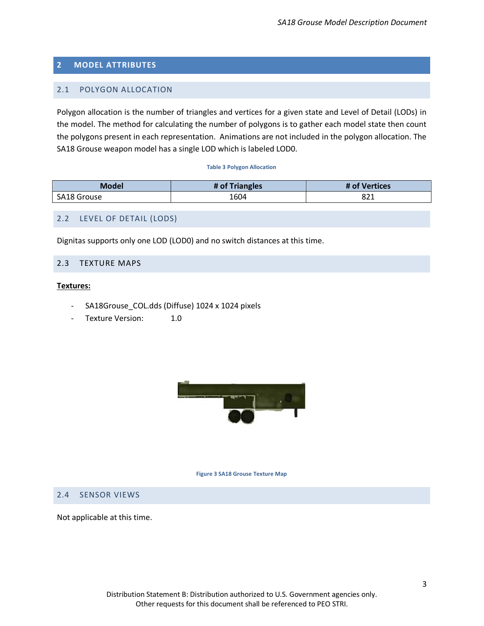## <span id="page-6-0"></span>**2 MODEL ATTRIBUTES**

## <span id="page-6-1"></span>2.1 POLYGON ALLOCATION

Polygon allocation is the number of triangles and vertices for a given state and Level of Detail (LODs) in the model. The method for calculating the number of polygons is to gather each model state then count the polygons present in each representation. Animations are not included in the polygon allocation. The SA18 Grouse weapon model has a single LOD which is labeled LOD0.

#### **Table 3 Polygon Allocation**

<span id="page-6-6"></span>

| <b>Model</b>       | # of Triangles | Vertices<br># of |
|--------------------|----------------|------------------|
| <b>SA18 Grouse</b> | 1604           | ∘ הס<br>OZ 1     |

## <span id="page-6-2"></span>2.2 LEVEL OF DETAIL (LODS)

Dignitas supports only one LOD (LOD0) and no switch distances at this time.

## <span id="page-6-3"></span>2.3 TEXTURE MAPS

#### **Textures:**

- SA18Grouse\_COL.dds (Diffuse) 1024 x 1024 pixels
- Texture Version: 1.0

![](_page_6_Picture_12.jpeg)

#### **Figure 3 SA18 Grouse Texture Map**

#### <span id="page-6-5"></span><span id="page-6-4"></span>2.4 SENSOR VIEWS

Not applicable at this time.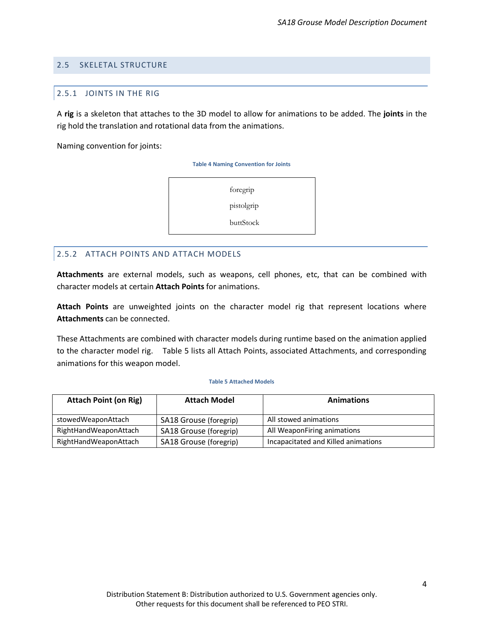### <span id="page-7-1"></span><span id="page-7-0"></span>2.5 SKELETAL STRUCTURE

#### 2.5.1 JOINTS IN THE RIG

A **rig** is a skeleton that attaches to the 3D model to allow for animations to be added. The **joints** in the rig hold the translation and rotational data from the animations.

<span id="page-7-3"></span>Naming convention for joints:

**Table 4 Naming Convention for Joints**

foregrip

pistolgrip

buttStock

#### <span id="page-7-2"></span>2.5.2 ATTACH POINTS AND ATTACH MODELS

<span id="page-7-4"></span>**Attachments** are external models, such as weapons, cell phones, etc, that can be combined with character models at certain **Attach Points** for animations.

**Attach Points** are unweighted joints on the character model rig that represent locations where **Attachments** can be connected.

These Attachments are combined with character models during runtime based on the animation applied to the character model rig. [Table 5](#page-7-4) lists all Attach Points, associated Attachments, and corresponding animations for this weapon model.

#### **Table 5 Attached Models**

| <b>Attach Point (on Rig)</b> | <b>Attach Model</b>    | <b>Animations</b>                   |
|------------------------------|------------------------|-------------------------------------|
| stowedWeaponAttach           | SA18 Grouse (foregrip) | All stowed animations               |
| RightHandWeaponAttach        | SA18 Grouse (foregrip) | All WeaponFiring animations         |
| RightHandWeaponAttach        | SA18 Grouse (foregrip) | Incapacitated and Killed animations |